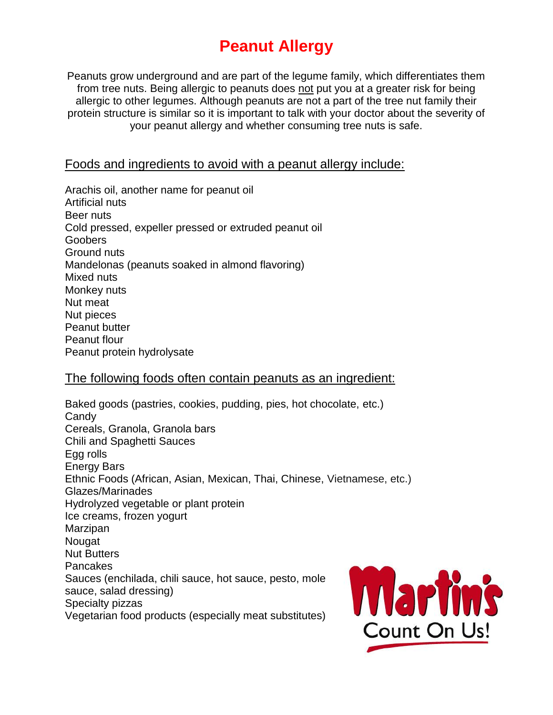# **Peanut Allergy**

Peanuts grow underground and are part of the legume family, which differentiates them from tree nuts. Being allergic to peanuts does not put you at a greater risk for being allergic to other legumes. Although peanuts are not a part of the tree nut family their protein structure is similar so it is important to talk with your doctor about the severity of your peanut allergy and whether consuming tree nuts is safe.

## Foods and ingredients to avoid with a peanut allergy include:

Arachis oil, another name for peanut oil Artificial nuts Beer nuts Cold pressed, expeller pressed or extruded peanut oil **Goobers** Ground nuts Mandelonas (peanuts soaked in almond flavoring) Mixed nuts Monkey nuts Nut meat Nut pieces Peanut butter Peanut flour Peanut protein hydrolysate

## The following foods often contain peanuts as an ingredient:

Baked goods (pastries, cookies, pudding, pies, hot chocolate, etc.) **Candy** Cereals, Granola, Granola bars Chili and Spaghetti Sauces Egg rolls Energy Bars Ethnic Foods (African, Asian, Mexican, Thai, Chinese, Vietnamese, etc.) Glazes/Marinades Hydrolyzed vegetable or plant protein Ice creams, frozen yogurt Marzipan Nougat Nut Butters Pancakes Sauces (enchilada, chili sauce, hot sauce, pesto, mole sauce, salad dressing) Specialty pizzas Vegetarian food products (especially meat substitutes)